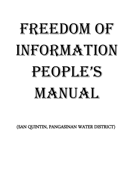# FREEDOM OF INFORMATION PEOPLE'S MANUAL

(SAN QUINTIN, PANGASINAN WATER DISTRICT)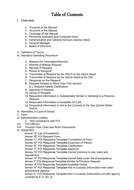# Table of Contents

- I. Overview
	- 1. Purpose of the Manual
	- 2. Structure of the Manual
	- 3. Coverage of the Manual
	- 4. Personnel Assistant and Complaint Desk
	- 5. Administrative and General Services Section Head
	- 6. General Manager
	- 7. Board of Directors
- II. Definition of Terms
- III. Standard Operating Procedure
	- 1. Request for Information/Records
	- 2. Manner of Making Request
	- 3. Receipt of Request
	- 4. Period to Respond
	- 5. Transmittal of Request by the PACD to the Admin Head
	- 6. Transmittal of Request by the Admin Head to the GM
	- 7. Response on the Request
	- 8. Request Relates to More Than One Section 8.1 Request Needs Clarification
	- 9. Approval of Request
	- 10.Denial of Request
	- 11.Requested Information is Substantially Similar or Identical to a Previous Request
	- 12.Requested Information is Available On-Line
	- 13.Requested Information is Not in the Custody of the San Quintin Water District.
- IV. Remedies in Case of Denial
- V. Fees
- VI. Administrative Liability
	- 1. Non-compliance with FOI
- VII. FOI Officers
- VIII. Process Flow Chart and Work Instructions
- IX. ANNEXES
	- Annex "A" List of Exceptions
	- Annex "B" FOI Request Form

Annex "C" FOI Response Template-Completion of Form

Annex "D" FOI Response Template-Extension of Period

- Annex "E" FOI Response Template-Clarification
- Annex "F" FOI Response Template-Approval

Annex "G" FOI Response Template-Denial (contrary to law, rules and regulations)

Annex "H" FOI Response Template-Denial (falls under list of exceptions)

Annex "I" FOI Response Template-Similar to Previous Request

Annex "J" FOI Response Template-Available Online

Annex "K" FOI Response Template-Not in Custody (information with other government agency)

Annex "L" FOI Response Template-Not in Custody (information not with agency covered by E.O. No. 2)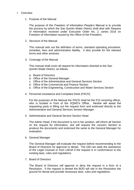#### I. Overview

1. Purpose of the Manual

The purpose of this Freedom of Information People's Manual is to provide the process by which the San Quintin Water District shall deal with Request of Information received under Executive Order No. 2, series 2016 on Freedom of Information issued by the Office of the President.

2. Structure of the Manual

This manual sets out the definition of terms, standard operating procedure, remedies, fees and administrative liability. It also provide for the relevant forms and other annexes.

3. Coverage of the Manual

This manual shall cover all request for information directed to the San Quintin Water District, as follows

- a. Board of Directors
- b. Office of the General Manager
- c. Office of the Administrative and General Services Section
- d. Office of the Commercial and Finance Section
- e. Office of the Engineering, Construction and Water Services Section
- 4. Personnel Assistance and Complaint Desk (PACD)

For the purposes of the Manual the PACD shall be the FOI receiving officer, who is located in front of the SQWD's Office, He/she will assist the requesting party in filling out the request form and endorsed directly to the Administrative and General Services Section Manager.

5. Administrative and General Service Section Head

The Admin Head, if the document is not in her position, will inform all Section on the request for information, she will request the concern Section to produce the documents and endorsed the same to the General Manager for evaluation.

6. General Manager

The General Manager will evaluate the request before recommending to the Board of Directors for approval or denial. The GM can seek the assistance of the Legal Counsel or from LWUA if the request is in conformance to the existing laws, rules and regulations.

7. Board of Directors

The Board of Directors will approve or deny the request in a form of a Resolution. If the request is denied the BOD will site in the Resolution the ground for denial and provide necessary laws, rules and regulations.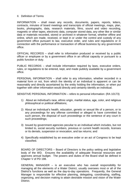## II. Definition of Terms

INFORMATION – shall mean any records, documents, papers, reports, letters, contracts, minutes of board meetings and transcripts of official meetings, maps, plan, books, photographs, data, research materials, films, sound and video recording, magnetic or other tapes, electronic data, computer stored data, any other like or similar data or materials recorded, stored or archived in whatever format, whether offline and online, which are made, received, or kept in or under the control and custody of any government office pursuant to law, executive order, and rules and regulations or in connection with the performance or transaction of official business by any government office.

OFFICIAL RECORDS – shall refer to information produced or received by a public officer or employee or by a government office in an official capacity or pursuant to a public function or duty.

PUBLIC RECORDS – shall include information required by laws, executive orders, rules, or regulations to be entered, kept, and made publicly available by a government office.

PERSONAL INFORMATION – shall refer to any information, whether recorded in a material form or not, from which the identity of an individual is apparent or can be reasonably and directly ascertained by the entity holding the information, or when put together with other information would directly and certainly identify an individual.

SENSITIVE PERSONAL INFORMATION – refers to personal information: (RA 10173)

- 1) About an individual's race, ethnic origin, marital status, age, color, and religious philosophical or political affiliations;
- 2) About an individual's health, education, genetic or sexual life of a person, or to any proceedings for any offense committed or alleged to have committed by such person, the disposal of such proceedings or the sentence of any court in such proceedings;
- 3) Issued by government agencies peculiar to an individual which includes, but not limited to, social security numbers, previous or current health records, licenses or its denials, suspension or revocation, and tax returns; and
- 4) Specifically established by an executive order or an act of Congress to be kept classified.

BOARD OF DIRECTORS – Board of Directors is the policy setting and legislative body of the WD. Ensures the availability of adequate financial resources and approves annual budget. The powers and duties of the Board shall be defined in Chapter V of PD 198.

GENERAL MANAGER – is an executive who has overall responsibility for managing all the elements of a Water District, usually oversees most or all of the District's functions as well as the day-to-day operations. Frequently, the General Manager is responsible for effective planning, delegating, coordinating, staffing, organizing, and decision making to attain desirable mission and vision of the Water District.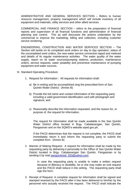ADMINISTRATIVE AND GENERAL SERVICES SECTION – Refers to human resource management, property management which will include inventory of all equipment and materials, utility services and other allied services.

COMMERCIAL AND FINANCE SECTION – refers to the preparation of financial reports and supervision of all financial functions and administration of financial planning and control. This as well discusses the actions undertaken by the commercial to improve the marketing, billing and collection, including customer service rendering.

ENGINEERING, CONSTRUCTION AND WATER SERVICES SECTION – The Section will tackle on its completed work orders on day to day operation, status of the uncompleted work orders, the new water service connection taped and metered and details of its regular maintenance activities. The water quality of the water supply, report on its water sources/pumping stations, production, maintenance orders, service requests, water potability and preventive maintenance of pumping equipment and water sources.

- III. Standard Operating Procedure
	- 1. Request for Information : All requests for information shall:
		- a) Be in writing and be accomplished sing the prescribed form of San Quintin Water District; (Annex B)
		- b) Provide the full name and contact information of the requesting party including a valid government identification card with photograph and signature; and
		- c) Reasonably describe the information requested, and the reason for, or purpose of, the request for information.

The request for information shall be made available in the San Quintin Water District office located in Brgy. Cabalaoangan, San Quintin, Pangasinan and on the SQWD's website sqwd.gov.ph.

If the PACD determines that the request is not complete, the PACD shall immediately return it and inform the requesting party to submit the complete form. (Annex B)

2. Manner of Making Request: A request for information shall be made by the requesting party by delivering it personally to the Office of San Quintin Water District located in Brgy. Cabalaoangan San Quintin, Pangasinan or by sending it by mail [sanquintinwd\\_553@yahoo.com.](mailto:smwd554_1996@yahoo.com)

> In case the requesting party is unable to make a written request because of illiteracy or disability, he or she may make an oral request and the PACD shall reduce it into writing. The requesting party shall sign the form.

3. Receipt of Request: A complete request for information shall be signed and stamped received by the PACD after it has been delivered to him/her by the personnel who actually received the request. The PACD shall indicate the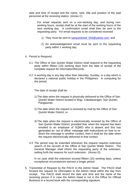date and time of receipt and the name, rank, title and position of the said personnel at the receiving station. (Annex C)

For email requests sent on a non-working day, and during nonworking hours, receipt shall be at the start of the working hours of the next working day. A confirmation email shall then be sent to the requesting party. For email requests to be considered received:

- 1) They must be sent to [sanquintinwd\\_553@yahoo.com;](mailto:smwd554_1996@yahoo.com) and
- 2) An acknowledgement email must be sent to the requesting party within 1 working day.
- 4. Period to Respond:
	- 4.1 The Office of San Quintin Water District shall respond to the requesting party within fifteen (15) working days from the date of receipt of the complete request for information/Records.
	- 4.2 A working day is any day other than Saturday, Sunday, or a day which is declared a national public holiday in the Philippines. In computing for the period.

The date of receipt shall be:

- 1) The date when the request is physically delivered to the Office of San Quintin Water District located in Brgy. Cabalaoangan, San Quintin, Pangasinan.
- 2) The date when the request is received by mail by the Office of San Quintin Water District; or
- 3) The date when the request is electronically received by the Office of San Quintin Water District, provided that, when the request has been emailed to an employee of SQWD who is absent and this has generated an 'out of office' message with instructions on how to redirect the message to another contact, then it shall be the date when the request electronically delivered to that contact.
- 4.3 The period may be extended whenever the request requires extensive search of the records of the Office of San Quintin Water District. The General Manager shall inform the requesting party of the extension, setting forth the reasons for such extension. (Annex D)

In no case shall the extension exceed fifteen (15) working days, unless exceptional circumstances warrant a longer period.

5. Transmittal of Request by the PACD to the Admin Head: The PACD shall forward the request for information to the Admin Head within the day from receipt. The PACD shall record the date and time and the name of the receiving person if in case the Admin Head is not in the Office for Official Business in a record book with the corresponding signature.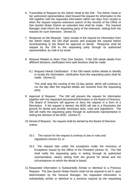- 6. Transmittal of Request by the Admin Head to the GM: The Admin Head or her authorized representative shall forward the request for information to the GM together with the requested information within two days from receipt or when the request requires extensive search of the records of the Office of San Quintin Water District an extended time shall be made. The General Manager shall inform the requesting party of the extension, setting forth the reasons for such extension. (Annex D)
- 7. Response on the Request: Upon receipt of the request for information from the Admin Head, the GM shall assess and evaluate the request before recommending to the Board for approval or denial. Response shall be relayed by the GM to the requesting party through its authorized representative, by mail or by email.
- 8. Request Relates to More Than One Section: If the GM needs details from different Sections, clarification from said Sections shall be made.
	- 8.1 Request Needs Clarification: If the GM needs further details to identify or locate the information, clarification from the requesting party shall be made. (Annex E)

This shall stop the running of the 15-day period, which will continue to run the day after the required details are received from the requesting party.

- 9. Approval of Request: The GM will present the request for information together with the requested documents/information to the Board of Directors. The Board of Directors will approve or deny the request in a form of a Resolution. If the request is denied, the BOD will site in a Resolution the ground for denial and provide necessary laws, rules and regulations. The GM will notify the requesting party through its authorized representative in writing the decision of the BOD. (Annex F)
- 10.Denial of Request: No request shall be denied by the Board of Directors unless:
	- 10.1 The reason for the request is contrary to law or rules and regulations (Annex G); or
	- 10.2 The request falls under the exceptions under the Inventory of Exceptions issued by the Office of the President (Annex H). The GM shall notify the requesting party in writing through its authorized representative, clearly setting forth the ground for denial and the circumstances on which the denial is based.
- 11.Requested Information is Substantially Similar or Identical to a Previous Request: The San Quintin Water District shall not be required to act if, upon determination by the General Manager, the requested information is substantially similar or identical to a previous request by the requesting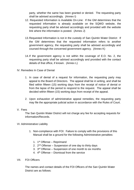party, whether the same has been granted or denied. The requesting party shall be advised accordingly. (Annex I)

- 12. Requested Information is Available On-Line: If the GM determines that the requested information is already available on the SQWD website, the requesting party shall be advised accordingly and provided with the website link where the information is posted. (Annex J)
- 13.Requested Information is not in the custody of San Quintin Water District: If the GM determines that the requested information refers to another government agency, the requesting party shall be advised accordingly and coursed through the concerned government agency. (Annex K)
- 14.If the government agency is not within the coverage of E.O. No. 2, the requesting party shall be advised accordingly and provided with the contact details of that office, if known. (Annex L)

## IV. Remedies In Case of Denial

- 1. In case of denial of a request for information, the requesting party may appeal to the Board of Directors. The appeal shall be in writing, and shall be filed within fifteen (15) working days from the receipt of notice of denial or from the lapse of the period to respond to the request. The appeal shall be decided within fifteen (15) working days from receipt of the appeal.
- 2. Upon exhaustion of administrative appeal remedies, the requesting party may file the appropriate judicial action in accordance with the Rules of Court.

## V. Fees

The San Quintin Water District will not charge any fee for accepting requests for information/Records.

## VI. Administrative Liability

- 1. Non-compliance with FOI: Failure to comply with the provisions of this Manual shall be a ground for the following Administrative penalties:
	- 1. 1<sup>st</sup> Offense Reprimand
	- 2. 2<sup>nd</sup> Offense Suspension of one day to thirty days
	- 3. 3<sup>rd</sup> Offense Suspension of one month to six months
	- 4. 4<sup>th</sup> Offense Dismissal from the service

## VII. FOI Officers

The names and contact details of the FOI Officers of the San Quintin Water District are as follows: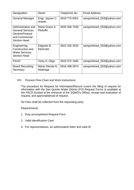| Designation                                                                                               | Name                        | Telephone No. | <b>Email Address</b>       |
|-----------------------------------------------------------------------------------------------------------|-----------------------------|---------------|----------------------------|
| General Manager                                                                                           | Engr. Jayson C.<br>Antolin  | 0919 770 0001 | sanquintinwd_553@yahoo.com |
| Administrative and<br><b>General Services</b><br>Section/Finance<br>and Commercial<br><b>Section Head</b> | Marie Grace A.<br>Redulfin  | 0933 306 7528 | sanquintinwd_553@yahoo.com |
| Engineering,<br>Construction and<br><b>Water Services</b><br><b>Section Head</b>                          | Edgardo B.<br>Episcope      | 0922 255 3533 | sanguintinwd_553@yahoo.com |
| <b>PACD</b>                                                                                               | Vicky H. Oligo              | 0923 575 1685 | sanguintinwd_553@yahoo.com |
| <b>Board Recording</b><br>Secretary                                                                       | Maria Glenda N.<br>Madriaga | 0916 408 2974 | sanguintinwd_553@yahoo.com |

## VIII. Process Flow Chart and Work Instructions

The procedure for Request for Information/Record covers the filling of request for information with the San Quintin Water District (FOI Request Forms is available at the PACD located at the entrance of the SQWD's Office), receipt and evaluation of request, and approval/denial of request.

No Fees shall be collected from the requesting party.

Requirements:

- 1. Duly accomplished Request Form
- 2. Valid Identification Card
- 3. For representatives, an authorization letter and valid ID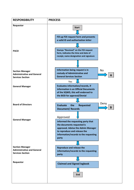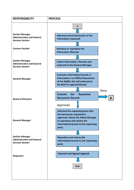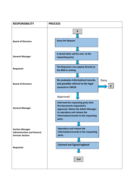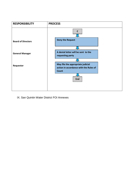

IX. San Quintin Water District FOI Annexes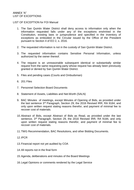## ANNEX "A" LIST OF EXCEPTIONS

## LIST OF EXCEPTION for FOI Manual

- 1. The San Quintin Water District shall deny access to information only when the information requested falls under any of the exceptions enshrined in the Constitution, existing laws or jurisprudence and specified in the inventory of exceptions as embodied in the Circular issued by the Office of the President pursuant to Section 4 of EO 2, s. 2016.
- 2. The requested information is not in the custody of San Quintin Water District.
- 3. The requested information contains Sensitive Personal Information, unless authorized by the owner thereof.
- 4. The request is an unreasonable subsequent identical or substantially similar request from the same requesting party whose request has already been previously granted or denied by San Quintin Water District.
- 5. Files and pending cases (Courts and Ombudsman)
- 6. 201 Files
- 7. Personnel Selection Board Documents
- 8. Statement of Assets, Liabilities and Net-Worth (SALN)
- 9. BAC Minutes of meetings, except Minutes of Opening of Bids, as provided under the last sentence 3rd Paragraph, Section 29, the 2016 Revised IRR, RA 9184, and only upon written request stating reasons therefor, and payment of minimal fee to recover cost of materials.
- 10.Abstract of Bids, except Abstract of Bids as Read, as provided under the last sentence, 3<sup>rd</sup> Paragraph, Section 29, the 2016 Revised IRR, RA 9184, and only upon written request stating reasons therefor, and payment of minimal fee to recover cost of materials.
- 11.TWG Recommendation, BAC Resolutions, and other Bidding Documents.

#### 12.IPCR

- 13.Financial report not yet audited by COA
- 14.All reports not in the final form
- 15.Agenda, deliberations and minutes of the Board Meetings
- 16.Legal Opinions or comments rendered by the Legal Service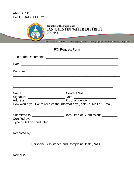# ANNEX "B" **FOI REQUEST FORM**



# FOI Request Form

| Purpose: |                                                                                  |
|----------|----------------------------------------------------------------------------------|
|          |                                                                                  |
|          |                                                                                  |
|          | Signature: _________________________________Date: ______________________________ |
|          |                                                                                  |
|          | How would you like to receive the information? (Pick-up, Mail or E-mail)         |
|          |                                                                                  |
|          |                                                                                  |
|          |                                                                                  |

Received by:

Personnel Assistance and Complaint Desk (PACD)

Remarks: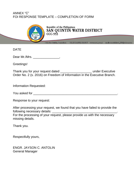# ANNEX "C" FOI RESPONSE TEMPLATE – COMPLETION OF FORM



DATE

Dear Mr./Mrs. \_\_\_\_\_\_\_\_\_\_\_\_\_\_\_,

Greetings!

Thank you for your request dated \_\_\_\_\_\_\_\_\_\_\_\_\_\_\_\_\_\_ under Executive Order No. 2 (s. 2016) on Freedom of Information in the Executive Branch.

Information Requested:

Response to your request:

After processing your request, we found that you have failed to provide the following necessary details: \_\_\_\_\_\_\_

For the processing of your request, please provide us with the necessary missing details.

Thank you.

Respectfully yours,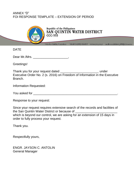# ANNEX "D" FOI RESPONSE TEMPLATE – EXTENSION OF PERIOD



DATE

Dear Mr./Mrs. \_\_\_\_\_\_\_\_\_\_\_\_\_\_\_\_\_\_\_\_,

Greetings!

Thank you for your request dated \_\_\_\_\_\_\_\_\_\_\_\_\_\_\_\_\_\_\_\_\_\_ under Executive Order No. 2 (s. 2016) on Freedom of Information in the Executive Branch.

Information Requested:

Response to your request:

Since your request requires extensive search of the records and facilities of the San Quintin Water District or because of \_\_\_\_\_\_\_\_\_\_\_\_\_\_\_\_\_\_\_\_\_\_\_\_ which is beyond our control, we are asking for an extension of 15 days in order to fully process your request.

Thank you.

Respectfully yours,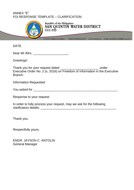## ANNEX "E" FOI RESPONSE TEMPLATE – CLARIFICATION



# Republic of the Philippines SAN QUINTIN WATER DISTRICT

DATE

Dear Mr./Mrs. \_\_\_\_\_\_\_\_\_\_\_\_\_\_\_\_\_\_\_,

Greetings!

Thank you for your request dated \_\_\_\_\_\_\_\_\_\_\_\_\_\_\_\_\_\_\_\_\_\_ under Executive Order No. 2 (s. 2016) on Freedom of Information in the Executive Branch.

Information Requested:

| You asked for |  |
|---------------|--|
|---------------|--|

Response to your request:

In order to fully process your request, may we ask for the following clarificatory details: **with a set of the set of the set of the set of the set of the set of the set of the set o** 

Thank you.

Respectfully yours,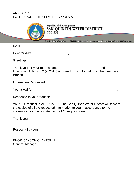# ANNEX "F" FOI RESPONSE TEMPLATE – APPROVAL



DATE

Dear Mr./Mrs.

Greetings!

Thank you for your request dated \_\_\_\_\_\_\_\_\_\_\_\_\_\_\_\_\_\_\_\_\_\_ under Executive Order No. 2 (s. 2016) on Freedom of Information in the Executive Branch.

Information Requested:

| You asked for |  |
|---------------|--|
|               |  |

Response to your request:

Your FOI request is APPROVED. The San Quintin Water District will forward the copies of all the requested information to you in accordance to the information you have stated in the FOI request form.

Thank you.

Respectfully yours,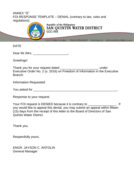| ANNEX "G"<br>FOI RESPONSE TEMPLATE – DENIAL (contrary to law, rules and<br>regulations)<br>Republic of the Philippines<br>SAN QUINTIN WATER DISTRICT<br>$CCC-553$ |                              |                         |                 |                                   |
|-------------------------------------------------------------------------------------------------------------------------------------------------------------------|------------------------------|-------------------------|-----------------|-----------------------------------|
|                                                                                                                                                                   | Pob. San Quintin, Pangasinan | TELEFAX: (075)-632-5317 | www.sqwd.gov.ph | email: sanguintinwd 553@yahoo.com |
| <b>DATE</b>                                                                                                                                                       |                              |                         |                 |                                   |
| Dear Mr./Mrs.                                                                                                                                                     |                              |                         |                 |                                   |

Greetings!

Thank you for your request dated \_\_\_\_\_\_\_\_\_\_\_\_\_\_\_\_\_\_\_\_\_\_\_\_\_\_\_\_\_\_\_\_under Executive Order No. 2 (s. 2016) on Freedom of Information in the Executive Branch.

Information Requested:

Response to your request:

Your FOI request is DENIED because it is contrary to \_\_\_\_\_\_\_\_\_\_\_\_\_\_\_\_\_. If you would like to appeal this denial, you may submit an appeal within fifteen (15) days from the receipt of this letter to the Board of Directors of San Quintin Water District.

Thank you.

Respectfully yours,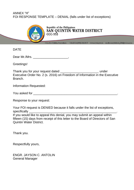# ANNEX "H" FOI RESPONSE TEMPLATE – DENIAL (falls under list of exceptions)



**DATE** 

Dear Mr./Mrs. \_\_\_\_\_\_\_\_\_\_\_\_\_\_\_\_\_\_\_\_,

Greetings!

Thank you for your request dated \_\_\_\_\_\_\_\_\_\_\_\_\_\_\_\_\_\_\_\_\_\_ under Executive Order No. 2 (s. 2016) on Freedom of Information in the Executive Branch.

Information Requested:

Response to your request:

Your FOI request is DENIED because it falls under the list of exceptions, specifically If you would like to appeal this denial, you may submit an appeal within fifteen (15) days from receipt of this letter to the Board of Directors of San Quintin Water District.

Thank you.

Respectfully yours,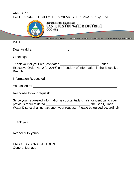# ANNEX "I" FOI RESPONSE TEMPLATE – SIMILAR TO PREVIOUS REQUEST



Republic of the Philippines SÂN QUINTIN WATER DISTRICT  $CCC-553$ 

DATE

Dear Mr./Mrs.

Greetings!

Thank you for your request dated \_\_\_\_\_\_\_\_\_\_\_\_\_\_\_\_\_\_\_\_\_\_ under Executive Order No. 2 (s. 2016) on Freedom of Information in the Executive Branch.

Information Requested:

You asked for \_\_\_\_\_\_\_\_\_\_\_\_\_\_\_\_\_\_\_\_\_\_\_\_\_\_\_\_\_\_\_\_\_\_\_\_\_\_\_\_\_\_\_\_\_\_\_\_.

Response to your request:

Since your requested information is substantially similar or identical to your previous request dated \_\_\_\_\_\_\_\_\_\_\_\_\_\_\_\_\_\_\_\_\_\_\_\_\_, the San Quintin Water District shall not act upon your request. Please be guided accordingly.

Thank you.

Respectfully yours,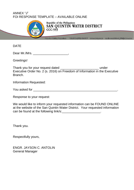# ANNEX "J" FOI RESPONSE TEMPLATE – AVAILABLE ONLINE



Republic of the Philippines SAN QUINTIN WATER DISTRICT  $CCC-553$ 

DATE

Dear Mr./Mrs. \_\_\_\_\_\_\_\_\_\_\_\_\_\_\_\_\_\_\_\_,

Greetings!

Thank you for your request dated \_\_\_\_\_\_\_\_\_\_\_\_\_\_\_\_\_\_\_\_\_\_ under Executive Order No. 2 (s. 2016) on Freedom of Information in the Executive Branch.

Information Requested:

| You asked for |  |
|---------------|--|
|               |  |

Response to your request:

We would like to inform your requested information can be FOUND ONLINE at the website of the San Quintin Water District. Your requested information can be found at the following link/s:\_\_\_\_\_\_\_\_\_\_\_\_\_\_\_\_\_\_\_\_\_\_.

Thank you.

Respectfully yours,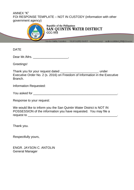# ANNEX "K" FOI RESPONSE TEMPLATE – NOT IN CUSTODY (information with other government agency)



Republic of the Philippines SAN QUINTIN WATER DISTRICT  $CCC-553$ 

DATE

Dear Mr./Mrs. \_\_\_\_\_\_\_\_\_\_\_\_\_\_\_\_\_\_\_\_\_,

Greetings!

Thank you for your request dated \_\_\_\_\_\_\_\_\_\_\_\_\_\_\_\_\_\_\_\_\_\_ under Executive Order No. 2 (s. 2016) on Freedom of Information in the Executive Branch.

Information Requested:

| You asked for |  |
|---------------|--|
|---------------|--|

Response to your request:

We would like to inform you the San Quintin Water District is NOT IN POSSESSION of the information you have requested. You may file a request to \_\_\_\_\_\_\_\_\_\_\_\_\_\_\_\_\_\_\_\_\_\_\_\_\_\_\_\_\_\_\_\_\_\_\_\_\_\_\_\_\_\_\_\_\_\_\_\_\_\_\_.

Thank you.

Respectfully yours,